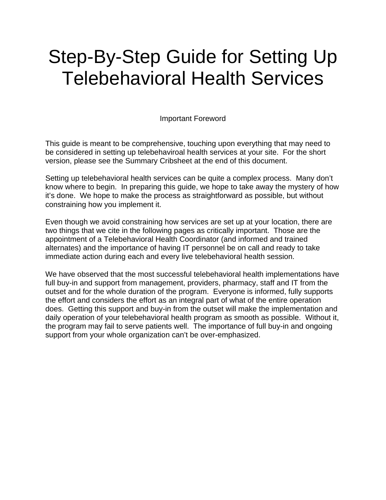# Telebehavioral Health Services<br>Important Foreword Step-By-Step Guide for Setting Up

This guide is meant to be comprehensive, touching upon everything that may need to be considered in setting up telebehaviroal health services at your site. For the short version, please see the Summary Cribsheet at the end of this document.

Setting up telebehavioral health services can be quite a complex process. Many don't know where to begin. In preparing this guide, we hope to take away the mystery of how it's done. We hope to make the process as straightforward as possible, but without constraining how you implement it.

Even though we avoid constraining how services are set up at your location, there are two things that we cite in the following pages as critically important. Those are the appointment of a Telebehavioral Health Coordinator (and informed and trained alternates) and the importance of having IT personnel be on call and ready to take immediate action during each and every live telebehavioral health session.

We have observed that the most successful telebehavioral health implementations have full buy-in and support from management, providers, pharmacy, staff and IT from the outset and for the whole duration of the program. Everyone is informed, fully supports the effort and considers the effort as an integral part of what of the entire operation does. Getting this support and buy-in from the outset will make the implementation and daily operation of your telebehavioral health program as smooth as possible. Without it, the program may fail to serve patients well. The importance of full buy-in and ongoing support from your whole organization can't be over-emphasized.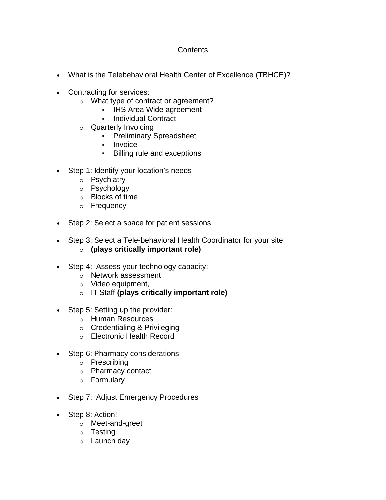# **Contents**

- What is the Telebehavioral Health Center of Excellence (TBHCE)?
- Contracting for services:
	- o What type of contract or agreement?
		- **IHS Area Wide agreement**
		- **Individual Contract**
	- o Quarterly Invoicing
		- **Preliminary Spreadsheet**
		- **Invoice**
		- Billing rule and exceptions
- Step 1: Identify your location's needs
	- o Psychiatry
	- o Psychology
	- o Blocks of time
	- o Frequency
- Step 2: Select a space for patient sessions
- Step 3: Select a Tele-behavioral Health Coordinator for your site
	- o **(plays critically important role)**
- Step 4: Assess your technology capacity:
	- o Network assessment
	- o Video equipment,
	- o IT Staff **(plays critically important role)**
- Step 5: Setting up the provider:
	- o Human Resources
	- o Credentialing & Privileging
	- o Electronic Health Record
- Step 6: Pharmacy considerations
	- o Prescribing
	- o Pharmacy contact
	- o Formulary
- Step 7: Adjust Emergency Procedures
- Step 8: Action!
	- o Meet-and-greet
	- o Testing
	- o Launch day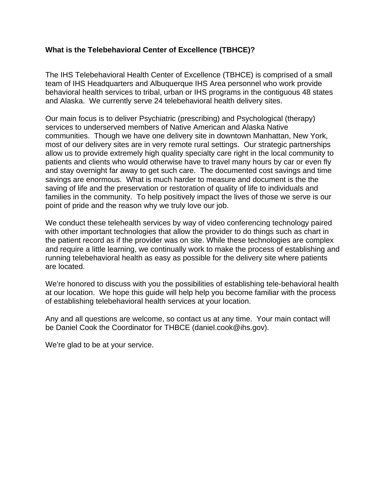## **What is the Telebehavioral Center of Excellence (TBHCE)?**

The IHS Telebehavioral Health Center of Excellence (TBHCE) is comprised of a small team of IHS Headquarters and Albuquerque IHS Area personnel who work provide behavioral health services to tribal, urban or IHS programs in the contiguous 48 states and Alaska. We currently serve 24 telebehavioral health delivery sites.

Our main focus is to deliver Psychiatric (prescribing) and Psychological (therapy) services to underserved members of Native American and Alaska Native communities. Though we have one delivery site in downtown Manhattan, New York, most of our delivery sites are in very remote rural settings. Our strategic partnerships allow us to provide extremely high quality specialty care right in the local community to patients and clients who would otherwise have to travel many hours by car or even fly and stay overnight far away to get such care. The documented cost savings and time savings are enormous. What is much harder to measure and document is the the saving of life and the preservation or restoration of quality of life to individuals and families in the community. To help positively impact the lives of those we serve is our point of pride and the reason why we truly love our job.

We conduct these telehealth services by way of video conferencing technology paired with other important technologies that allow the provider to do things such as chart in the patient record as if the provider was on site. While these technologies are complex and require a little learning, we continually work to make the process of establishing and running telebehavioral health as easy as possible for the delivery site where patients are located.

We're honored to discuss with you the possibilities of establishing tele-behavioral health at our location. We hope this guide will help help you become familiar with the process of establishing telebehavioral health services at your location.

Any and all questions are welcome, so contact us at any time. Your main contact will be Daniel Cook the Coordinator for THBCE (daniel.cook@ihs.gov).

We're glad to be at your service.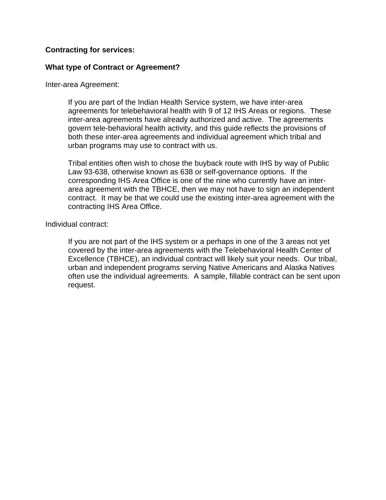## **Contracting for services:**

## **What type of Contract or Agreement?**

Inter-area Agreement:

If you are part of the Indian Health Service system, we have inter-area agreements for telebehavioral health with 9 of 12 IHS Areas or regions. These inter-area agreements have already authorized and active. The agreements govern tele-behavioral health activity, and this guide reflects the provisions of both these inter-area agreements and individual agreement which tribal and urban programs may use to contract with us.

Tribal entities often wish to chose the buyback route with IHS by way of Public Law 93-638, otherwise known as 638 or self-governance options. If the corresponding IHS Area Office is one of the nine who currently have an interarea agreement with the TBHCE, then we may not have to sign an independent contract. It may be that we could use the existing inter-area agreement with the contracting IHS Area Office.

Individual contract:

If you are not part of the IHS system or a perhaps in one of the 3 areas not yet covered by the inter-area agreements with the Telebehavioral Health Center of Excellence (TBHCE), an individual contract will likely suit your needs. Our tribal, urban and independent programs serving Native Americans and Alaska Natives often use the individual agreements. A sample, fillable contract can be sent upon request.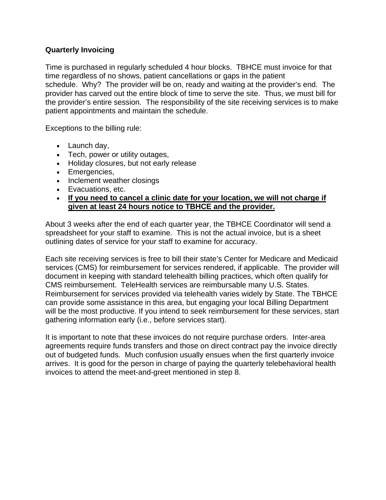# **Quarterly Invoicing**

Time is purchased in regularly scheduled 4 hour blocks. TBHCE must invoice for that time regardless of no shows, patient cancellations or gaps in the patient schedule. Why? The provider will be on, ready and waiting at the provider's end. The provider has carved out the entire block of time to serve the site. Thus, we must bill for the provider's entire session. The responsibility of the site receiving services is to make patient appointments and maintain the schedule.

Exceptions to the billing rule:

- •Launch day,
- •Tech, power or utility outages,
- •Holiday closures, but not early release
- •Emergencies,
- Inclement weather closings
- •Evacuations, etc.
- •**If you need to cancel a clinic date for your location, we will not charge if given at least 24 hours notice to TBHCE and the provider.**

About 3 weeks after the end of each quarter year, the TBHCE Coordinator will send a spreadsheet for your staff to examine. This is not the actual invoice, but is a sheet outlining dates of service for your staff to examine for accuracy.

Each site receiving services is free to bill their state's Center for Medicare and Medicaid services (CMS) for reimbursement for services rendered, if applicable. The provider will document in keeping with standard telehealth billing practices, which often qualify for CMS reimbursement. TeleHealth services are reimbursable many U.S. States. Reimbursement for services provided via telehealth varies widely by State. The TBHCE can provide some assistance in this area, but engaging your local Billing Department will be the most productive. If you intend to seek reimbursement for these services, start gathering information early (i.e., before services start).

It is important to note that these invoices do not require purchase orders. Inter-area agreements require funds transfers and those on direct contract pay the invoice directly out of budgeted funds. Much confusion usually ensues when the first quarterly invoice arrives. It is good for the person in charge of paying the quarterly telebehavioral health invoices to attend the meet-and-greet mentioned in step 8.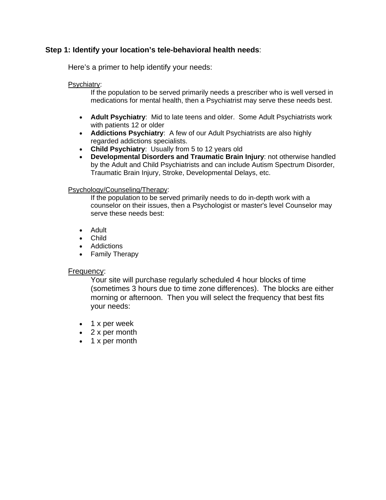## **Step 1: Identify your location's tele-behavioral health needs**:

Here's a primer to help identify your needs:

## Psychiatry:

If the population to be served primarily needs a prescriber who is well versed in medications for mental health, then a Psychiatrist may serve these needs best.

- •**Adult Psychiatry**: Mid to late teens and older. Some Adult Psychiatrists work with patients 12 or older
- •**Addictions Psychiatry**: A few of our Adult Psychiatrists are also highly regarded addictions specialists.
- •**Child Psychiatry**: Usually from 5 to 12 years old
- $\bullet$ •**Developmental Disorders and Traumatic Brain Injury**: not otherwise handled by the Adult and Child Psychiatrists and can include Autism Spectrum Disorder, Traumatic Brain Injury, Stroke, Developmental Delays, etc.

### Psychology/Counseling/Therapy:

If the population to be served primarily needs to do in-depth work with a counselor on their issues, then a Psychologist or master's level Counselor may serve these needs best:

- Adult
- •Child
- •Addictions
- •Family Therapy

### Frequency:

Your site will purchase regularly scheduled 4 hour blocks of time (sometimes 3 hours due to time zone differences). The blocks are either morning or afternoon. Then you will select the frequency that best fits your needs:

- 1 x per week
- •2 x per month
- •1 x per month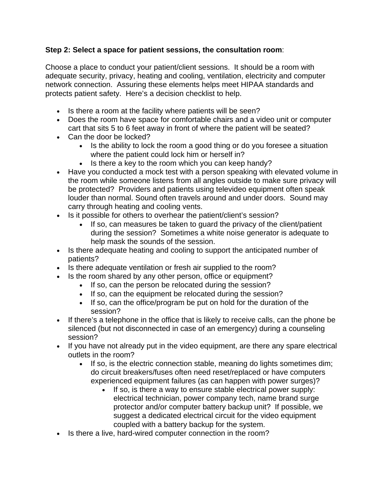# **Step 2: Select a space for patient sessions, the consultation room**:

Choose a place to conduct your patient/client sessions. It should be a room with adequate security, privacy, heating and cooling, ventilation, electricity and computer network connection. Assuring these elements helps meet HIPAA standards and protects patient safety. Here's a decision checklist to help.

- Is there a room at the facility where patients will be seen?
- •Does the room have space for comfortable chairs and a video unit or computer cart that sits 5 to 6 feet away in front of where the patient will be seated?
- •Can the door be locked?
	- •Is the ability to lock the room a good thing or do you foresee a situation where the patient could lock him or herself in?
	- Is there a key to the room which you can keep handy?
- Have you conducted a mock test with a person speaking with elevated volume in the room while someone listens from all angles outside to make sure privacy will be protected? Providers and patients using televideo equipment often speak louder than normal. Sound often travels around and under doors. Sound may carry through heating and cooling vents.
- Is it possible for others to overhear the patient/client's session?
	- $\bullet$ If so, can measures be taken to quard the privacy of the client/patient during the session? Sometimes a white noise generator is adequate to help mask the sounds of the session.
- •Is there adequate heating and cooling to support the anticipated number of patients?
- Is there adequate ventilation or fresh air supplied to the room?
- Is the room shared by any other person, office or equipment?
	- If so, can the person be relocated during the session?
		- •If so, can the equipment be relocated during the session?
		- •If so, can the office/program be put on hold for the duration of the session?
- If there's a telephone in the office that is likely to receive calls, can the phone be silenced (but not disconnected in case of an emergency) during a counseling session?
- •If you have not already put in the video equipment, are there any spare electrical outlets in the room?
	- •If so, is the electric connection stable, meaning do lights sometimes dim; do circuit breakers/fuses often need reset/replaced or have computers experienced equipment failures (as can happen with power surges)?
		- •If so, is there a way to ensure stable electrical power supply: electrical technician, power company tech, name brand surge protector and/or computer battery backup unit? If possible, we suggest a dedicated electrical circuit for the video equipment coupled with a battery backup for the system.
- Is there a live, hard-wired computer connection in the room?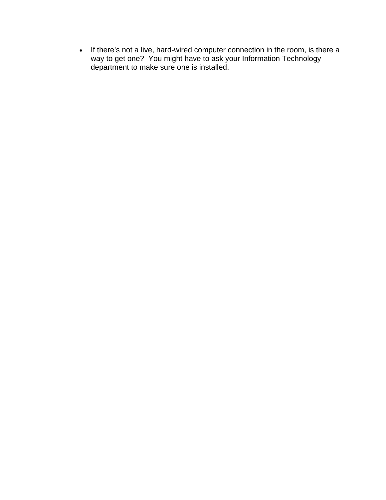• If there's not a live, hard-wired computer connection in the room, is there a way to get one? You might have to ask your Information Technology department to make sure one is installed.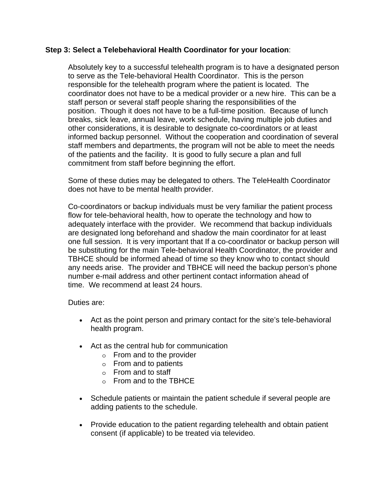## **Step 3: Select a Telebehavioral Health Coordinator for your location**:

Absolutely key to a successful telehealth program is to have a designated person to serve as the Tele-behavioral Health Coordinator. This is the person responsible for the telehealth program where the patient is located. The coordinator does not have to be a medical provider or a new hire. This can be a staff person or several staff people sharing the responsibilities of the position. Though it does not have to be a full-time position. Because of lunch breaks, sick leave, annual leave, work schedule, having multiple job duties and other considerations, it is desirable to designate co-coordinators or at least informed backup personnel. Without the cooperation and coordination of several staff members and departments, the program will not be able to meet the needs of the patients and the facility. It is good to fully secure a plan and full commitment from staff before beginning the effort.

Some of these duties may be delegated to others. The TeleHealth Coordinator does not have to be mental health provider.

Co-coordinators or backup individuals must be very familiar the patient process flow for tele-behavioral health, how to operate the technology and how to adequately interface with the provider. We recommend that backup individuals are designated long beforehand and shadow the main coordinator for at least one full session. It is very important that If a co-coordinator or backup person will be substituting for the main Tele-behavioral Health Coordinator, the provider and TBHCE should be informed ahead of time so they know who to contact should any needs arise. The provider and TBHCE will need the backup person's phone number e-mail address and other pertinent contact information ahead of time. We recommend at least 24 hours.

Duties are:

- •Act as the point person and primary contact for the site's tele-behavioral health program.
- •Act as the central hub for communication
	- $\circ$  From and to the provider
	- $\circ$  From and to patients
	- $\circ$  From and to staff
	- $\circ$  From and to the TBHCE
- $\bullet$ Schedule patients or maintain the patient schedule if several people are adding patients to the schedule.
- •Provide education to the patient regarding telehealth and obtain patient consent (if applicable) to be treated via televideo.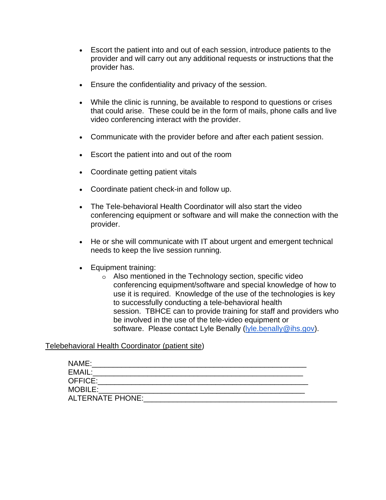- •Escort the patient into and out of each session, introduce patients to the provider and will carry out any additional requests or instructions that the provider has.
- •Ensure the confidentiality and privacy of the session.
- •While the clinic is running, be available to respond to questions or crises that could arise. These could be in the form of mails, phone calls and live video conferencing interact with the provider.
- •Communicate with the provider before and after each patient session.
- •Escort the patient into and out of the room
- $\bullet$ •Coordinate getting patient vitals
- •Coordinate patient check-in and follow up.
- •The Tele-behavioral Health Coordinator will also start the video conferencing equipment or software and will make the connection with the provider.
- $\bullet$ •He or she will communicate with IT about urgent and emergent technical needs to keep the live session running.
- $\bullet$ •Equipment training:
	- $\circ$  Also mentioned in the Technology section, specific video conferencing equipment/software and special knowledge of how to use it is required. Knowledge of the use of the technologies is key to successfully conducting a tele-behavioral health session. TBHCE can to provide training for staff and providers who be involved in the use of the tele-video equipment or software. Please contact Lyle Benally (lyle.benally@ihs.gov).

## Telebehavioral Health Coordinator (patient site)

| NAME:                   |  |  |
|-------------------------|--|--|
| EMAIL:                  |  |  |
| OFFICE:                 |  |  |
| <b>MOBILE:</b>          |  |  |
| <b>ALTERNATE PHONE:</b> |  |  |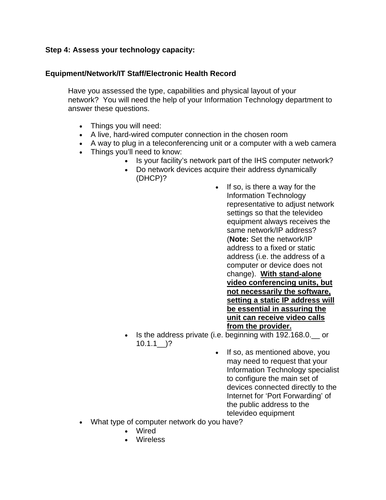## **Step 4: Assess your technology capacity:**

## **Equipment/Network/IT Staff/Electronic Health Record**

Have you assessed the type, capabilities and physical layout of your network? You will need the help of your Information Technology department to answer these questions.

- •Things you will need:
- •A live, hard-wired computer connection in the chosen room
- •A way to plug in a teleconferencing unit or a computer with a web camera
- •Things you'll need to know:
	- •Is your facility's network part of the IHS computer network?
	- •Do network devices acquire their address dynamically (DHCP)?
		- $\bullet$ If so, is there a way for the Information Technology representative to adjust network settings so that the televideo equipment always receives the same network/IP address? (**Note:** Set the network/IP address to a fixed or static address (i.e. the address of a computer or device does not change). **With stand-alone video conferencing units, but not necessarily the software, setting a static IP address will be essential in assuring the unit can receive video calls from the provider.**
	- Is the address private (i.e. beginning with 192.168.0. \_ or  $10.1.1$ )?
		- If so, as mentioned above, you may need to request that your Information Technology specialist to configure the main set of devices connected directly to the Internet for 'Port Forwarding' of the public address to the televideo equipment
- •What type of computer network do you have?
	- •Wired
	- •Wireless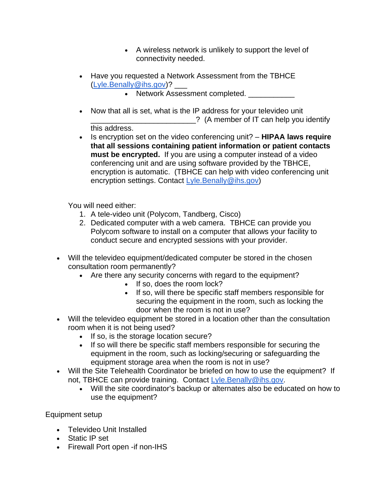- •A wireless network is unlikely to support the level of connectivity needed.
- •Have you requested a Network Assessment from the TBHCE (Lyle.Benally@ihs.gov)? \_\_\_
	- Network Assessment completed. \_\_\_\_\_\_\_\_\_\_\_\_
- •Now that all is set, what is the IP address for your televideo unit \_\_\_\_\_\_\_\_\_\_\_\_\_\_\_\_\_\_\_\_\_\_\_\_\_? (A member of IT can help you identify this address.
- •Is encryption set on the video conferencing unit? **HIPAA laws require that all sessions containing patient information or patient contacts must be encrypted.** If you are using a computer instead of a video conferencing unit and are using software provided by the TBHCE, encryption is automatic. (TBHCE can help with video conferencing unit encryption settings. Contact Lyle.Benally@ihs.gov)

You will need either:

- 1. A tele-video unit (Polycom, Tandberg, Cisco)
- 2. Dedicated computer with a web camera. TBHCE can provide you Polycom software to install on a computer that allows your facility to conduct secure and encrypted sessions with your provider.
- •Will the televideo equipment/dedicated computer be stored in the chosen consultation room permanently?
	- •Are there any security concerns with regard to the equipment?
		- If so, does the room lock?
		- •If so, will there be specific staff members responsible for securing the equipment in the room, such as locking the door when the room is not in use?
- •Will the televideo equipment be stored in a location other than the consultation room when it is not being used?
	- If so, is the storage location secure?
	- •If so will there be specific staff members responsible for securing the equipment in the room, such as locking/securing or safeguarding the equipment storage area when the room is not in use?
- •Will the Site Telehealth Coordinator be briefed on how to use the equipment? If not, TBHCE can provide training. Contact Lyle.Benally@ihs.gov.
	- •Will the site coordinator's backup or alternates also be educated on how to use the equipment?

Equipment setup

- •Televideo Unit Installed
- •Static IP set
- Firewall Port open -if non-IHS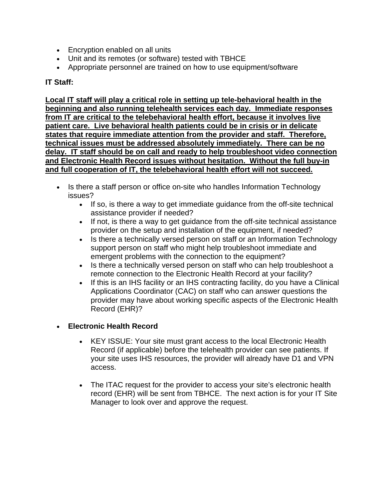- •Encryption enabled on all units
- •Unit and its remotes (or software) tested with TBHCE
- •Appropriate personnel are trained on how to use equipment/software

## **IT Staff:**

**Local IT staff will play a critical role in setting up tele-behavioral health in the beginning and also running telehealth services each day. Immediate responses from IT are critical to the telebehavioral health effort, because it involves live patient care. Live behavioral health patients could be in crisis or in delicate states that require immediate attention from the provider and staff. Therefore, technical issues must be addressed absolutely immediately. There can be no delay. IT staff should be on call and ready to help troubleshoot video connection and Electronic Health Record issues without hesitation. Without the full buy-in and full cooperation of IT, the telebehavioral health effort will not succeed.** 

- Is there a staff person or office on-site who handles Information Technology issues?
	- •If so, is there a way to get immediate guidance from the off-site technical assistance provider if needed?
	- If not, is there a way to get guidance from the off-site technical assistance provider on the setup and installation of the equipment, if needed?
	- Is there a technically versed person on staff or an Information Technology support person on staff who might help troubleshoot immediate and emergent problems with the connection to the equipment?
	- Is there a technically versed person on staff who can help troubleshoot a remote connection to the Electronic Health Record at your facility?
	- If this is an IHS facility or an IHS contracting facility, do you have a Clinical Applications Coordinator (CAC) on staff who can answer questions the provider may have about working specific aspects of the Electronic Health Record (EHR)?

# •**Electronic Health Record**

- $\bullet$ •KEY ISSUE: Your site must grant access to the local Electronic Health Record (if applicable) before the telehealth provider can see patients. If your site uses IHS resources, the provider will already have D1 and VPN access.
- •The ITAC request for the provider to access your site's electronic health record (EHR) will be sent from TBHCE. The next action is for your IT Site Manager to look over and approve the request.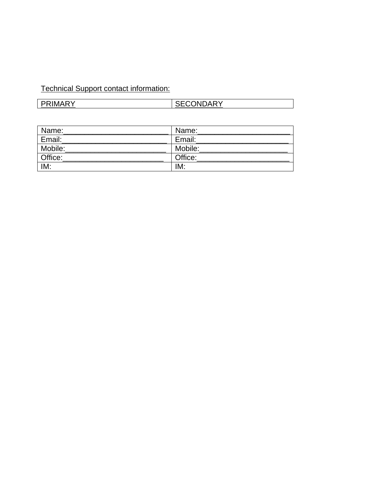# Technical Support contact information:

| <b>CRIMADY</b> | <b>CONDARY</b> |
|----------------|----------------|
|                |                |

| Name:   | Name:   |
|---------|---------|
| Email:  | Email:  |
| Mobile: | Mobile: |
| Office: | Office: |
| IM:     | IM:     |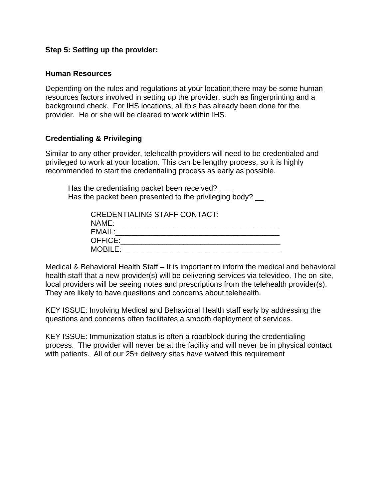## **Step 5: Setting up the provider:**

## **Human Resources**

Depending on the rules and regulations at your location,there may be some human resources factors involved in setting up the provider, such as fingerprinting and a background check. For IHS locations, all this has already been done for the provider. He or she will be cleared to work within IHS.

## **Credentialing & Privileging**

Similar to any other provider, telehealth providers will need to be credentialed and privileged to work at your location. This can be lengthy process, so it is highly recommended to start the credentialing process as early as possible.

Has the credentialing packet been received? Has the packet been presented to the privileging body?  $\_\_$ 

| <b>CREDENTIALING STAFF CONTACT:</b> |
|-------------------------------------|
| NAME:                               |
| EMAIL:                              |
| OFFICE:                             |
| <b>MOBILE:</b>                      |

Medical & Behavioral Health Staff – It is important to inform the medical and behavioral health staff that a new provider(s) will be delivering services via televideo. The on-site, local providers will be seeing notes and prescriptions from the telehealth provider(s). They are likely to have questions and concerns about telehealth.

KEY ISSUE: Involving Medical and Behavioral Health staff early by addressing the questions and concerns often facilitates a smooth deployment of services.

KEY ISSUE: Immunization status is often a roadblock during the credentialing process. The provider will never be at the facility and will never be in physical contact with patients. All of our 25+ delivery sites have waived this requirement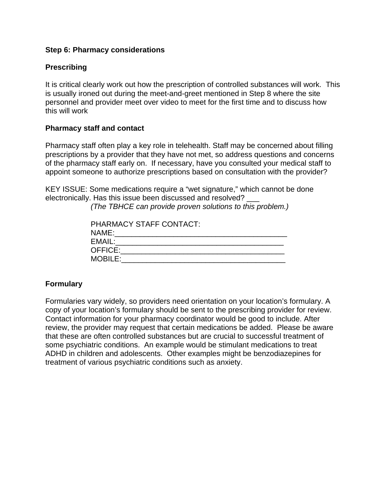## **Step 6: Pharmacy considerations**

## **Prescribing**

It is critical clearly work out how the prescription of controlled substances will work. This is usually ironed out during the meet-and-greet mentioned in Step 8 where the site personnel and provider meet over video to meet for the first time and to discuss how this will work

## **Pharmacy staff and contact**

Pharmacy staff often play a key role in telehealth. Staff may be concerned about filling prescriptions by a provider that they have not met, so address questions and concerns of the pharmacy staff early on. If necessary, have you consulted your medical staff to appoint someone to authorize prescriptions based on consultation with the provider?

KEY ISSUE: Some medications require a "wet signature," which cannot be done electronically. Has this issue been discussed and resolved? \_\_\_

*(The TBHCE can provide proven solutions to this problem.)* 

| <b>PHARMACY STAFF CONTACT:</b> |
|--------------------------------|
| NAME:                          |
| EMAIL:                         |
| OFFICE:                        |
| <b>MOBILE:</b>                 |

## **Formulary**

Formularies vary widely, so providers need orientation on your location's formulary. A copy of your location's formulary should be sent to the prescribing provider for review. Contact information for your pharmacy coordinator would be good to include. After review, the provider may request that certain medications be added. Please be aware that these are often controlled substances but are crucial to successful treatment of some psychiatric conditions. An example would be stimulant medications to treat ADHD in children and adolescents. Other examples might be benzodiazepines for treatment of various psychiatric conditions such as anxiety.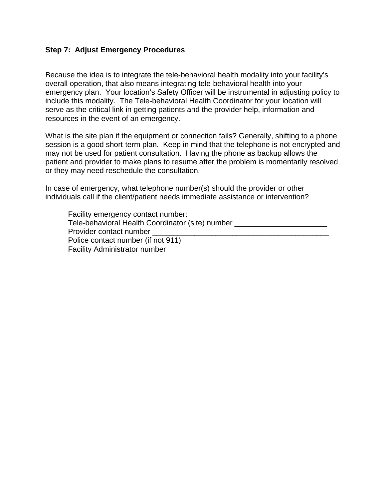## **Step 7: Adjust Emergency Procedures**

Because the idea is to integrate the tele-behavioral health modality into your facility's overall operation, that also means integrating tele-behavioral health into your emergency plan. Your location's Safety Officer will be instrumental in adjusting policy to include this modality. The Tele-behavioral Health Coordinator for your location will serve as the critical link in getting patients and the provider help, information and resources in the event of an emergency.

What is the site plan if the equipment or connection fails? Generally, shifting to a phone session is a good short-term plan. Keep in mind that the telephone is not encrypted and may not be used for patient consultation. Having the phone as backup allows the patient and provider to make plans to resume after the problem is momentarily resolved or they may need reschedule the consultation.

In case of emergency, what telephone number(s) should the provider or other individuals call if the client/patient needs immediate assistance or intervention?

| Facility emergency contact number: _             |
|--------------------------------------------------|
| Tele-behavioral Health Coordinator (site) number |
| Provider contact number                          |
| Police contact number (if not 911)               |
| <b>Facility Administrator number</b>             |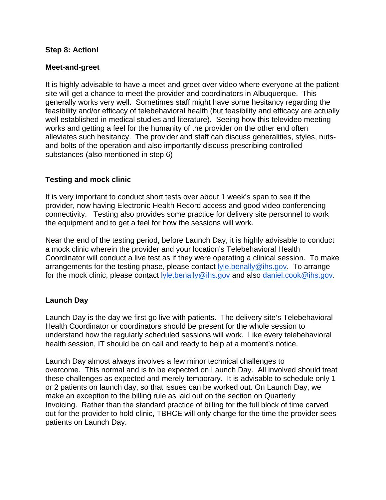## **Step 8: Action!**

## **Meet-and-greet**

It is highly advisable to have a meet-and-greet over video where everyone at the patient site will get a chance to meet the provider and coordinators in Albuquerque. This generally works very well. Sometimes staff might have some hesitancy regarding the feasibility and/or efficacy of telebehavioral health (but feasibility and efficacy are actually well established in medical studies and literature). Seeing how this televideo meeting works and getting a feel for the humanity of the provider on the other end often alleviates such hesitancy. The provider and staff can discuss generalities, styles, nutsand-bolts of the operation and also importantly discuss prescribing controlled substances (also mentioned in step 6)

## **Testing and mock clinic**

It is very important to conduct short tests over about 1 week's span to see if the provider, now having Electronic Health Record access and good video conferencing connectivity. Testing also provides some practice for delivery site personnel to work the equipment and to get a feel for how the sessions will work.

Near the end of the testing period, before Launch Day, it is highly advisable to conduct a mock clinic wherein the provider and your location's Telebehavioral Health Coordinator will conduct a live test as if they were operating a clinical session. To make arrangements for the testing phase, please contact lyle.benally@ihs.gov. To arrange for the mock clinic, please contact lyle.benally@ihs.gov and also daniel.cook@ihs.gov.

## **Launch Day**

Launch Day is the day we first go live with patients. The delivery site's Telebehavioral Health Coordinator or coordinators should be present for the whole session to understand how the regularly scheduled sessions will work. Like every telebehavioral health session, IT should be on call and ready to help at a moment's notice.

Launch Day almost always involves a few minor technical challenges to overcome. This normal and is to be expected on Launch Day. All involved should treat these challenges as expected and merely temporary. It is advisable to schedule only 1 or 2 patients on launch day, so that issues can be worked out. On Launch Day, we make an exception to the billing rule as laid out on the section on Quarterly Invoicing. Rather than the standard practice of billing for the full block of time carved out for the provider to hold clinic, TBHCE will only charge for the time the provider sees patients on Launch Day.